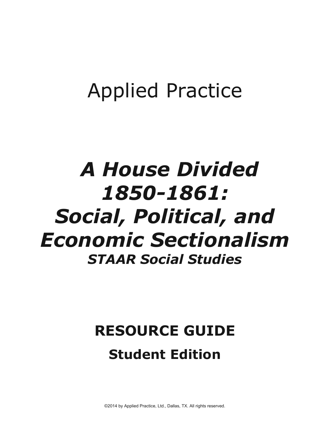## Applied Practice

## *A House Divided 1850-1861: Social, Political, and Economic Sectionalism STAAR Social Studies*

## **RESOURCE GUIDE Student Edition**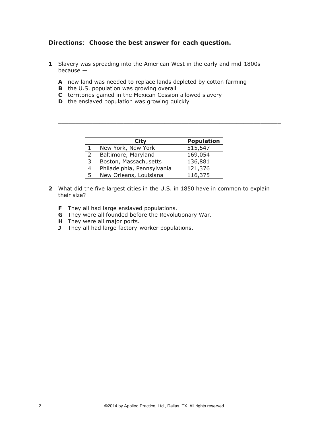## **Directions**: **Choose the best answer for each question.**

- **1** Slavery was spreading into the American West in the early and mid-1800s because —
	- **A** new land was needed to replace lands depleted by cotton farming
	- **B** the U.S. population was growing overall
	- **C** territories gained in the Mexican Cession allowed slavery
	- **D** the enslaved population was growing quickly

|               | <b>City</b>                | <b>Population</b> |
|---------------|----------------------------|-------------------|
|               | New York, New York         | 515,547           |
| $\mathcal{P}$ | Baltimore, Maryland        | 169,054           |
| 3             | Boston, Massachusetts      | 136,881           |
| 4             | Philadelphia, Pennsylvania | 121,376           |
| 5             | New Orleans, Louisiana     | 116,375           |

 $\overline{\phantom{a}}$  ,  $\overline{\phantom{a}}$  ,  $\overline{\phantom{a}}$  ,  $\overline{\phantom{a}}$  ,  $\overline{\phantom{a}}$  ,  $\overline{\phantom{a}}$  ,  $\overline{\phantom{a}}$  ,  $\overline{\phantom{a}}$  ,  $\overline{\phantom{a}}$  ,  $\overline{\phantom{a}}$  ,  $\overline{\phantom{a}}$  ,  $\overline{\phantom{a}}$  ,  $\overline{\phantom{a}}$  ,  $\overline{\phantom{a}}$  ,  $\overline{\phantom{a}}$  ,  $\overline{\phantom{a}}$ 

- **2** What did the five largest cities in the U.S. in 1850 have in common to explain their size?
	- **F** They all had large enslaved populations.
	- **G** They were all founded before the Revolutionary War.
	- **H** They were all major ports.
	- **J** They all had large factory-worker populations.